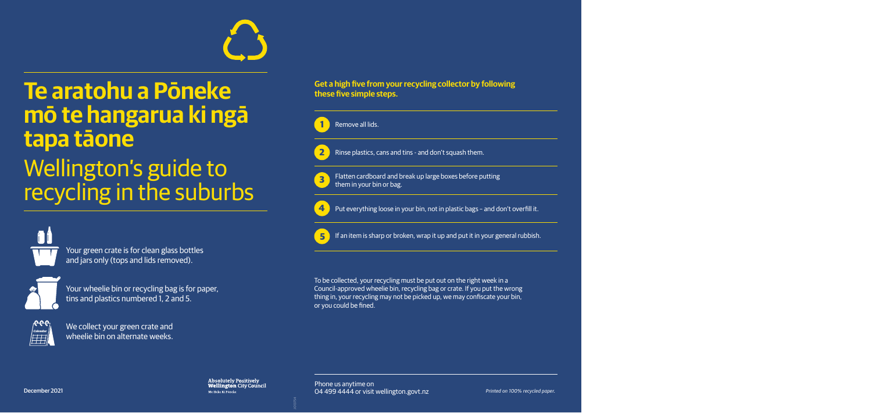

# **Te aratohu a Pōneke mō te hangarua ki ngā tapa tāone**  Wellington's guide to recycling in the suburbs



Your green crate is for clean glass bottles and jars only (tops and lids removed).



Your wheelie bin or recycling bag is for paper, tins and plastics numbered 1, 2 and 5.



We collect your green crate and wheelie bin on alternate weeks.

## **Get a high five from your recycling collector by following these five simple steps.**



**3** Flatten cardboard and break up large boxes before putting them in your bin or bag.

**4**

Put everything loose in your bin, not in plastic bags – and don't overfill it.



**5** If an item is sharp or broken, wrap it up and put it in your general rubbish.

To be collected, your recycling must be put out on the right week in a Council-approved wheelie bin, recycling bag or crate. If you put the wrong thing in, your recycling may not be picked up, we may confiscate your bin, or you could be fined.

**Absolutely Positively Wellington City Council** Me Heke Ki Pöneke

Phone us anytime on 04 499 4444 or visit wellington.govt.nz *Printed on 100% recycled paper.*